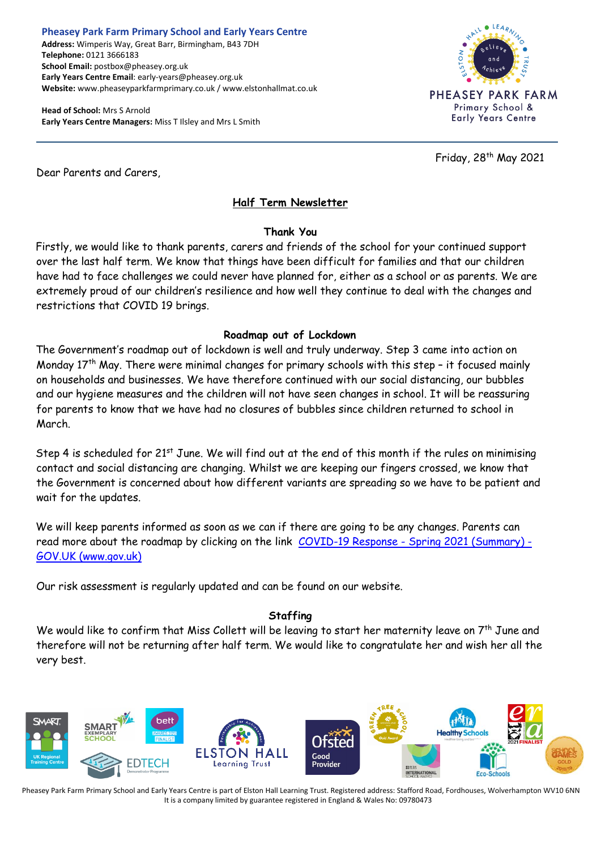#### **Pheasey Park Farm Primary School and Early Years Centre Address:** Wimperis Way, Great Barr, Birmingham, B43 7DH **Telephone:** 0121 3666183 **School Email:** postbox@pheasey.org.uk **Early Years Centre Email**: early-years@pheasey.org.uk **Website:** www.pheaseyparkfarmprimary.co.uk / www.elstonhallmat.co.uk

**Head of School:** Mrs S Arnold **Early Years Centre Managers:** Miss T Ilsley and Mrs L Smith



Friday, 28 th May 2021

Dear Parents and Carers,

# **Half Term Newsletter**

### **Thank You**

Firstly, we would like to thank parents, carers and friends of the school for your continued support over the last half term. We know that things have been difficult for families and that our children have had to face challenges we could never have planned for, either as a school or as parents. We are extremely proud of our children's resilience and how well they continue to deal with the changes and restrictions that COVID 19 brings.

### **Roadmap out of Lockdown**

The Government's roadmap out of lockdown is well and truly underway. Step 3 came into action on Monday 17<sup>th</sup> May. There were minimal changes for primary schools with this step - it focused mainly on households and businesses. We have therefore continued with our social distancing, our bubbles and our hygiene measures and the children will not have seen changes in school. It will be reassuring for parents to know that we have had no closures of bubbles since children returned to school in March.

Step 4 is scheduled for 21<sup>st</sup> June. We will find out at the end of this month if the rules on minimising contact and social distancing are changing. Whilst we are keeping our fingers crossed, we know that the Government is concerned about how different variants are spreading so we have to be patient and wait for the updates.

We will keep parents informed as soon as we can if there are going to be any changes. Parents can read more about the roadmap by clicking on the link COVID-19 Response - [Spring 2021 \(Summary\) -](https://www.gov.uk/government/publications/covid-19-response-spring-2021/covid-19-response-spring-2021-summary) [GOV.UK \(www.gov.uk\)](https://www.gov.uk/government/publications/covid-19-response-spring-2021/covid-19-response-spring-2021-summary)

Our risk assessment is regularly updated and can be found on our website.

## **Staffing**

We would like to confirm that Miss Collett will be leaving to start her maternity leave on 7<sup>th</sup> June and therefore will not be returning after half term. We would like to congratulate her and wish her all the very best.

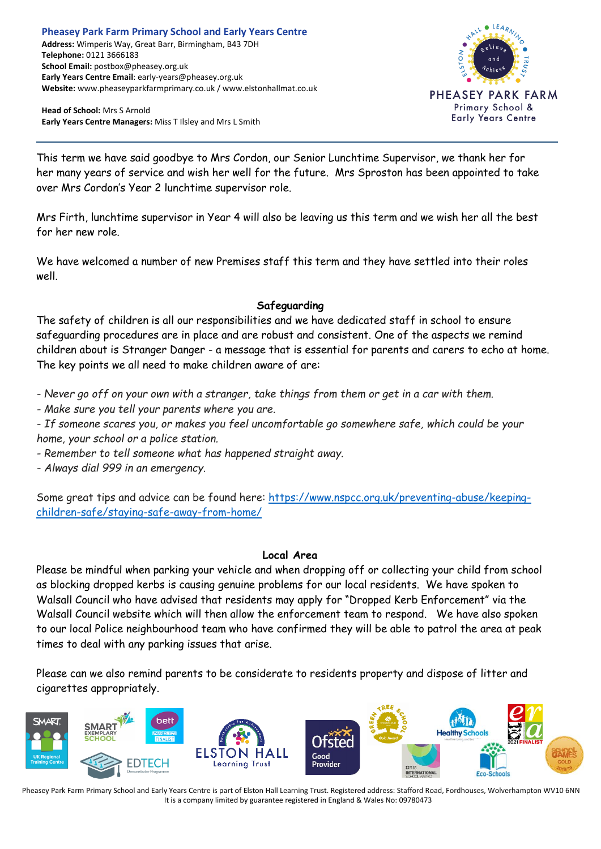**Head of School:** Mrs S Arnold **Early Years Centre Managers:** Miss T Ilsley and Mrs L Smith



This term we have said goodbye to Mrs Cordon, our Senior Lunchtime Supervisor, we thank her for her many years of service and wish her well for the future. Mrs Sproston has been appointed to take over Mrs Cordon's Year 2 lunchtime supervisor role.

Mrs Firth, lunchtime supervisor in Year 4 will also be leaving us this term and we wish her all the best for her new role.

We have welcomed a number of new Premises staff this term and they have settled into their roles well.

### **Safeguarding**

The safety of children is all our responsibilities and we have dedicated staff in school to ensure safeguarding procedures are in place and are robust and consistent. One of the aspects we remind children about is Stranger Danger - a message that is essential for parents and carers to echo at home. The key points we all need to make children aware of are:

- Never go off on your own with a stranger, take things from them or get in a car with them.

*- Make sure you tell your parents where you are.*

*- If someone scares you, or makes you feel uncomfortable go somewhere safe, which could be your home, your school or a police station.*

*- Remember to tell someone what has happened straight away.*

*- Always dial 999 in an emergency.*

Some great tips and advice can be found here: [https://www.nspcc.org.uk/preventing-abuse/keeping](https://eur01.safelinks.protection.outlook.com/?url=https%3A%2F%2Fwww.nspcc.org.uk%2Fpreventing-abuse%2Fkeeping-children-safe%2Fstaying-safe-away-from-home%2F&data=04%7C01%7Cseona.baker%40walsall.gov.uk%7C8035bc45de224d105aed08d915381a55%7C5ddc79c77e69428fba3084b24a1ad994%7C0%7C0%7C637564152968928683%7CUnknown%7CTWFpbGZsb3d8eyJWIjoiMC4wLjAwMDAiLCJQIjoiV2luMzIiLCJBTiI6Ik1haWwiLCJXVCI6Mn0%3D%7C1000&sdata=aOkYghr%2F3oJ9xpUapNpm5ziFc4L81KiFynfoEjYOmwo%3D&reserved=0)[children-safe/staying-safe-away-from-home/](https://eur01.safelinks.protection.outlook.com/?url=https%3A%2F%2Fwww.nspcc.org.uk%2Fpreventing-abuse%2Fkeeping-children-safe%2Fstaying-safe-away-from-home%2F&data=04%7C01%7Cseona.baker%40walsall.gov.uk%7C8035bc45de224d105aed08d915381a55%7C5ddc79c77e69428fba3084b24a1ad994%7C0%7C0%7C637564152968928683%7CUnknown%7CTWFpbGZsb3d8eyJWIjoiMC4wLjAwMDAiLCJQIjoiV2luMzIiLCJBTiI6Ik1haWwiLCJXVCI6Mn0%3D%7C1000&sdata=aOkYghr%2F3oJ9xpUapNpm5ziFc4L81KiFynfoEjYOmwo%3D&reserved=0)

### **Local Area**

Please be mindful when parking your vehicle and when dropping off or collecting your child from school as blocking dropped kerbs is causing genuine problems for our local residents. We have spoken to Walsall Council who have advised that residents may apply for "Dropped Kerb Enforcement" via the Walsall Council website which will then allow the enforcement team to respond. We have also spoken to our local Police neighbourhood team who have confirmed they will be able to patrol the area at peak times to deal with any parking issues that arise.

Please can we also remind parents to be considerate to residents property and dispose of litter and cigarettes appropriately.

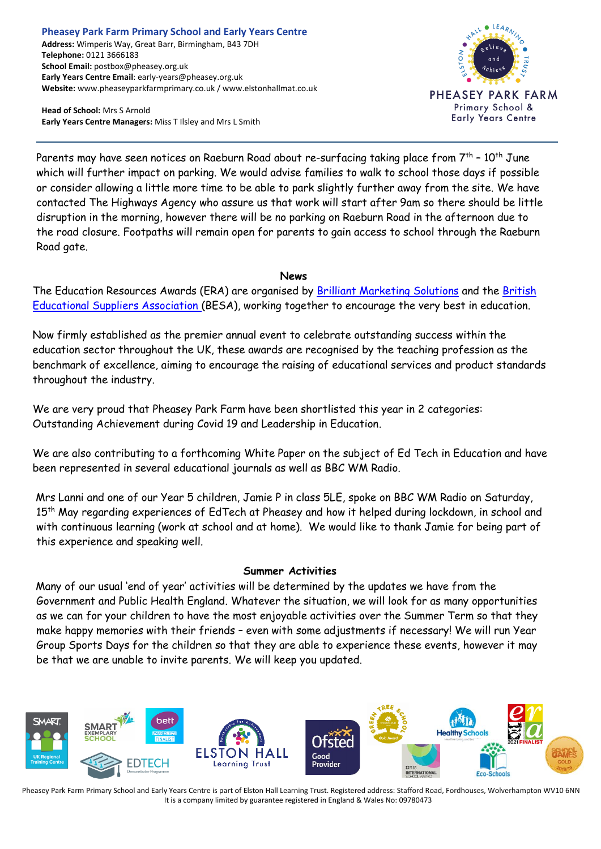#### **Pheasey Park Farm Primary School and Early Years Centre Address:** Wimperis Way, Great Barr, Birmingham, B43 7DH **Telephone:** 0121 3666183 **School Email:** postbox@pheasey.org.uk **Early Years Centre Email**: early-years@pheasey.org.uk **Website:** www.pheaseyparkfarmprimary.co.uk / www.elstonhallmat.co.uk

**Head of School:** Mrs S Arnold **Early Years Centre Managers:** Miss T Ilsley and Mrs L Smith



Parents may have seen notices on Raeburn Road about re-surfacing taking place from 7<sup>th</sup> – 10<sup>th</sup> June which will further impact on parking. We would advise families to walk to school those days if possible or consider allowing a little more time to be able to park slightly further away from the site. We have contacted The Highways Agency who assure us that work will start after 9am so there should be little disruption in the morning, however there will be no parking on Raeburn Road in the afternoon due to the road closure. Footpaths will remain open for parents to gain access to school through the Raeburn Road gate.

#### **News**

The Education Resources Awards (ERA) are organised by [Brilliant Marketing Solutions](http://brilliantmarketingsolutions.net/) and the [British](https://www.besa.org.uk/)  [Educational Suppliers Association](https://www.besa.org.uk/) (BESA), working together to encourage the very best in education.

Now firmly established as the premier annual event to celebrate outstanding success within the education sector throughout the UK, these awards are recognised by the teaching profession as the benchmark of excellence, aiming to encourage the raising of educational services and product standards throughout the industry.

We are very proud that Pheasey Park Farm have been shortlisted this year in 2 categories: Outstanding Achievement during Covid 19 and Leadership in Education.

We are also contributing to a forthcoming White Paper on the subject of Ed Tech in Education and have been represented in several educational journals as well as BBC WM Radio.

Mrs Lanni and one of our Year 5 children, Jamie P in class 5LE, spoke on BBC WM Radio on Saturday, 15<sup>th</sup> May regarding experiences of EdTech at Pheasey and how it helped during lockdown, in school and with continuous learning (work at school and at home). We would like to thank Jamie for being part of this experience and speaking well.

### **Summer Activities**

Many of our usual 'end of year' activities will be determined by the updates we have from the Government and Public Health England. Whatever the situation, we will look for as many opportunities as we can for your children to have the most enjoyable activities over the Summer Term so that they make happy memories with their friends – even with some adjustments if necessary! We will run Year Group Sports Days for the children so that they are able to experience these events, however it may be that we are unable to invite parents. We will keep you updated.

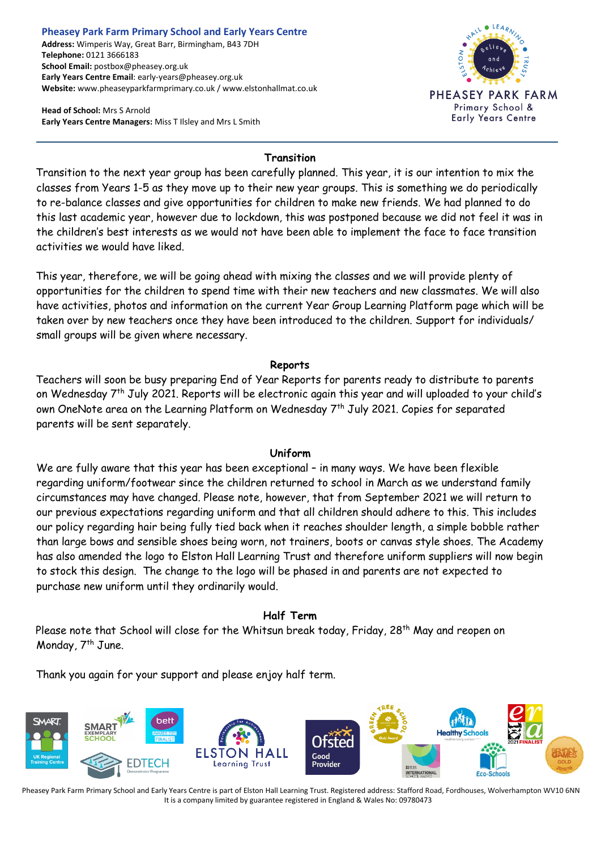#### **Pheasey Park Farm Primary School and Early Years Centre Address:** Wimperis Way, Great Barr, Birmingham, B43 7DH **Telephone:** 0121 3666183 **School Email:** postbox@pheasey.org.uk **Early Years Centre Email**: early-years@pheasey.org.uk **Website:** www.pheaseyparkfarmprimary.co.uk / www.elstonhallmat.co.uk

**Head of School:** Mrs S Arnold **Early Years Centre Managers:** Miss T Ilsley and Mrs L Smith



# **Transition**

Transition to the next year group has been carefully planned. This year, it is our intention to mix the classes from Years 1-5 as they move up to their new year groups. This is something we do periodically to re-balance classes and give opportunities for children to make new friends. We had planned to do this last academic year, however due to lockdown, this was postponed because we did not feel it was in the children's best interests as we would not have been able to implement the face to face transition activities we would have liked.

This year, therefore, we will be going ahead with mixing the classes and we will provide plenty of opportunities for the children to spend time with their new teachers and new classmates. We will also have activities, photos and information on the current Year Group Learning Platform page which will be taken over by new teachers once they have been introduced to the children. Support for individuals/ small groups will be given where necessary.

### **Reports**

Teachers will soon be busy preparing End of Year Reports for parents ready to distribute to parents on Wednesday 7th July 2021. Reports will be electronic again this year and will uploaded to your child's own OneNote area on the Learning Platform on Wednesday 7<sup>th</sup> July 2021. Copies for separated parents will be sent separately.

## **Uniform**

We are fully aware that this year has been exceptional – in many ways. We have been flexible regarding uniform/footwear since the children returned to school in March as we understand family circumstances may have changed. Please note, however, that from September 2021 we will return to our previous expectations regarding uniform and that all children should adhere to this. This includes our policy regarding hair being fully tied back when it reaches shoulder length, a simple bobble rather than large bows and sensible shoes being worn, not trainers, boots or canvas style shoes. The Academy has also amended the logo to Elston Hall Learning Trust and therefore uniform suppliers will now begin to stock this design. The change to the logo will be phased in and parents are not expected to purchase new uniform until they ordinarily would.

## **Half Term**

Please note that School will close for the Whitsun break today, Friday, 28<sup>th</sup> May and reopen on Monday, 7<sup>th</sup> June.

Thank you again for your support and please enjoy half term.